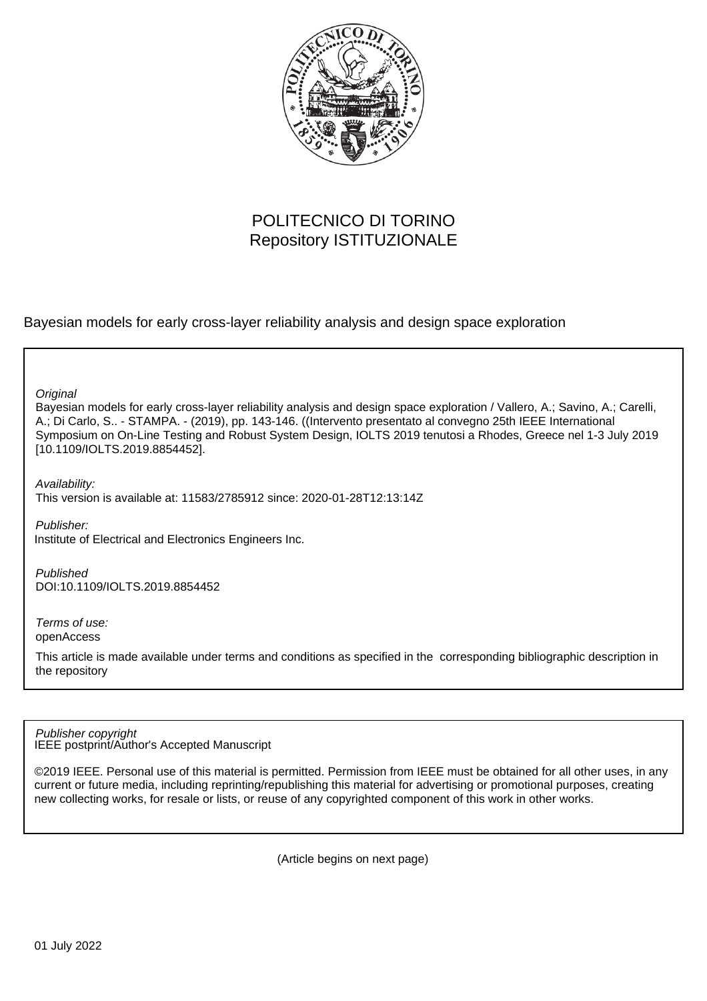

## POLITECNICO DI TORINO Repository ISTITUZIONALE

Bayesian models for early cross-layer reliability analysis and design space exploration

**Original** 

Bayesian models for early cross-layer reliability analysis and design space exploration / Vallero, A.; Savino, A.; Carelli, A.; Di Carlo, S.. - STAMPA. - (2019), pp. 143-146. ((Intervento presentato al convegno 25th IEEE International Symposium on On-Line Testing and Robust System Design, IOLTS 2019 tenutosi a Rhodes, Greece nel 1-3 July 2019 [10.1109/IOLTS.2019.8854452].

Availability: This version is available at: 11583/2785912 since: 2020-01-28T12:13:14Z

Publisher: Institute of Electrical and Electronics Engineers Inc.

Published DOI:10.1109/IOLTS.2019.8854452

Terms of use: openAccess

This article is made available under terms and conditions as specified in the corresponding bibliographic description in the repository

IEEE postprint/Author's Accepted Manuscript Publisher copyright

©2019 IEEE. Personal use of this material is permitted. Permission from IEEE must be obtained for all other uses, in any current or future media, including reprinting/republishing this material for advertising or promotional purposes, creating new collecting works, for resale or lists, or reuse of any copyrighted component of this work in other works.

(Article begins on next page)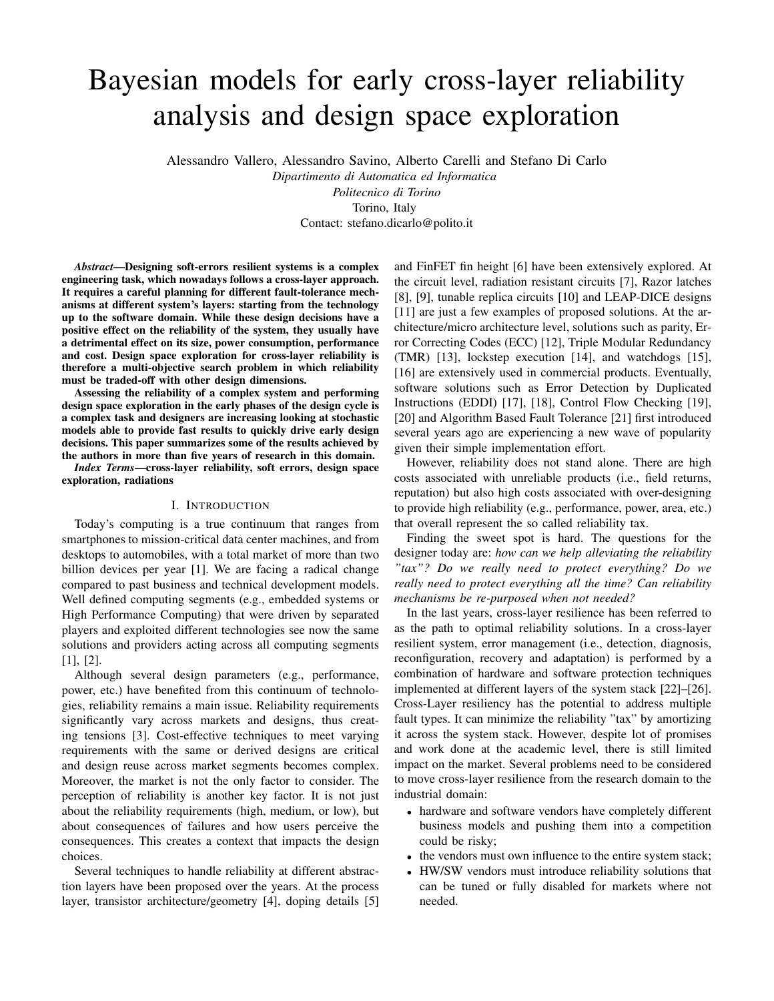# Bayesian models for early cross-layer reliability analysis and design space exploration

Alessandro Vallero, Alessandro Savino, Alberto Carelli and Stefano Di Carlo

*Dipartimento di Automatica ed Informatica Politecnico di Torino* Torino, Italy

Contact: stefano.dicarlo@polito.it

*Abstract*—Designing soft-errors resilient systems is a complex engineering task, which nowadays follows a cross-layer approach. It requires a careful planning for different fault-tolerance mechanisms at different system's layers: starting from the technology up to the software domain. While these design decisions have a positive effect on the reliability of the system, they usually have a detrimental effect on its size, power consumption, performance and cost. Design space exploration for cross-layer reliability is therefore a multi-objective search problem in which reliability must be traded-off with other design dimensions.

Assessing the reliability of a complex system and performing design space exploration in the early phases of the design cycle is a complex task and designers are increasing looking at stochastic models able to provide fast results to quickly drive early design decisions. This paper summarizes some of the results achieved by the authors in more than five years of research in this domain.

*Index Terms*—cross-layer reliability, soft errors, design space exploration, radiations

#### I. INTRODUCTION

Today's computing is a true continuum that ranges from smartphones to mission-critical data center machines, and from desktops to automobiles, with a total market of more than two billion devices per year [1]. We are facing a radical change compared to past business and technical development models. Well defined computing segments (e.g., embedded systems or High Performance Computing) that were driven by separated players and exploited different technologies see now the same solutions and providers acting across all computing segments [1], [2].

Although several design parameters (e.g., performance, power, etc.) have benefited from this continuum of technologies, reliability remains a main issue. Reliability requirements significantly vary across markets and designs, thus creating tensions [3]. Cost-effective techniques to meet varying requirements with the same or derived designs are critical and design reuse across market segments becomes complex. Moreover, the market is not the only factor to consider. The perception of reliability is another key factor. It is not just about the reliability requirements (high, medium, or low), but about consequences of failures and how users perceive the consequences. This creates a context that impacts the design choices.

Several techniques to handle reliability at different abstraction layers have been proposed over the years. At the process layer, transistor architecture/geometry [4], doping details [5]

and FinFET fin height [6] have been extensively explored. At the circuit level, radiation resistant circuits [7], Razor latches [8], [9], tunable replica circuits [10] and LEAP-DICE designs [11] are just a few examples of proposed solutions. At the architecture/micro architecture level, solutions such as parity, Error Correcting Codes (ECC) [12], Triple Modular Redundancy (TMR) [13], lockstep execution [14], and watchdogs [15], [16] are extensively used in commercial products. Eventually, software solutions such as Error Detection by Duplicated Instructions (EDDI) [17], [18], Control Flow Checking [19], [20] and Algorithm Based Fault Tolerance [21] first introduced several years ago are experiencing a new wave of popularity given their simple implementation effort.

However, reliability does not stand alone. There are high costs associated with unreliable products (i.e., field returns, reputation) but also high costs associated with over-designing to provide high reliability (e.g., performance, power, area, etc.) that overall represent the so called reliability tax.

Finding the sweet spot is hard. The questions for the designer today are: *how can we help alleviating the reliability "tax"? Do we really need to protect everything? Do we really need to protect everything all the time? Can reliability mechanisms be re-purposed when not needed?*

In the last years, cross-layer resilience has been referred to as the path to optimal reliability solutions. In a cross-layer resilient system, error management (i.e., detection, diagnosis, reconfiguration, recovery and adaptation) is performed by a combination of hardware and software protection techniques implemented at different layers of the system stack [22]–[26]. Cross-Layer resiliency has the potential to address multiple fault types. It can minimize the reliability "tax" by amortizing it across the system stack. However, despite lot of promises and work done at the academic level, there is still limited impact on the market. Several problems need to be considered to move cross-layer resilience from the research domain to the industrial domain:

- hardware and software vendors have completely different business models and pushing them into a competition could be risky;
- the vendors must own influence to the entire system stack;
- HW/SW vendors must introduce reliability solutions that can be tuned or fully disabled for markets where not needed.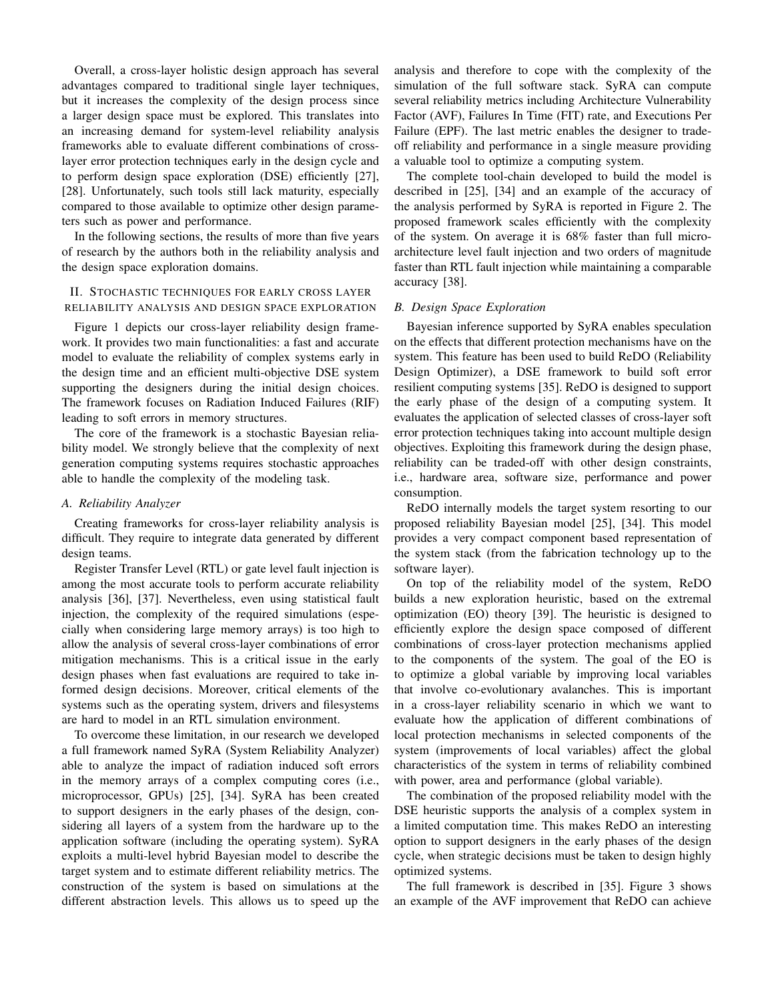Overall, a cross-layer holistic design approach has several advantages compared to traditional single layer techniques, but it increases the complexity of the design process since a larger design space must be explored. This translates into an increasing demand for system-level reliability analysis frameworks able to evaluate different combinations of crosslayer error protection techniques early in the design cycle and to perform design space exploration (DSE) efficiently [27], [28]. Unfortunately, such tools still lack maturity, especially compared to those available to optimize other design parameters such as power and performance.

In the following sections, the results of more than five years of research by the authors both in the reliability analysis and the design space exploration domains.

### II. STOCHASTIC TECHNIQUES FOR EARLY CROSS LAYER RELIABILITY ANALYSIS AND DESIGN SPACE EXPLORATION

Figure 1 depicts our cross-layer reliability design framework. It provides two main functionalities: a fast and accurate model to evaluate the reliability of complex systems early in the design time and an efficient multi-objective DSE system supporting the designers during the initial design choices. The framework focuses on Radiation Induced Failures (RIF) leading to soft errors in memory structures.

The core of the framework is a stochastic Bayesian reliability model. We strongly believe that the complexity of next generation computing systems requires stochastic approaches able to handle the complexity of the modeling task.

#### *A. Reliability Analyzer*

Creating frameworks for cross-layer reliability analysis is difficult. They require to integrate data generated by different design teams.

Register Transfer Level (RTL) or gate level fault injection is among the most accurate tools to perform accurate reliability analysis [36], [37]. Nevertheless, even using statistical fault injection, the complexity of the required simulations (especially when considering large memory arrays) is too high to allow the analysis of several cross-layer combinations of error mitigation mechanisms. This is a critical issue in the early design phases when fast evaluations are required to take informed design decisions. Moreover, critical elements of the systems such as the operating system, drivers and filesystems are hard to model in an RTL simulation environment.

To overcome these limitation, in our research we developed a full framework named SyRA (System Reliability Analyzer) able to analyze the impact of radiation induced soft errors in the memory arrays of a complex computing cores (i.e., microprocessor, GPUs) [25], [34]. SyRA has been created to support designers in the early phases of the design, considering all layers of a system from the hardware up to the application software (including the operating system). SyRA exploits a multi-level hybrid Bayesian model to describe the target system and to estimate different reliability metrics. The construction of the system is based on simulations at the different abstraction levels. This allows us to speed up the analysis and therefore to cope with the complexity of the simulation of the full software stack. SyRA can compute several reliability metrics including Architecture Vulnerability Factor (AVF), Failures In Time (FIT) rate, and Executions Per Failure (EPF). The last metric enables the designer to tradeoff reliability and performance in a single measure providing a valuable tool to optimize a computing system.

The complete tool-chain developed to build the model is described in [25], [34] and an example of the accuracy of the analysis performed by SyRA is reported in Figure 2. The proposed framework scales efficiently with the complexity of the system. On average it is 68% faster than full microarchitecture level fault injection and two orders of magnitude faster than RTL fault injection while maintaining a comparable accuracy [38].

#### *B. Design Space Exploration*

Bayesian inference supported by SyRA enables speculation on the effects that different protection mechanisms have on the system. This feature has been used to build ReDO (Reliability Design Optimizer), a DSE framework to build soft error resilient computing systems [35]. ReDO is designed to support the early phase of the design of a computing system. It evaluates the application of selected classes of cross-layer soft error protection techniques taking into account multiple design objectives. Exploiting this framework during the design phase, reliability can be traded-off with other design constraints, i.e., hardware area, software size, performance and power consumption.

ReDO internally models the target system resorting to our proposed reliability Bayesian model [25], [34]. This model provides a very compact component based representation of the system stack (from the fabrication technology up to the software layer).

On top of the reliability model of the system, ReDO builds a new exploration heuristic, based on the extremal optimization (EO) theory [39]. The heuristic is designed to efficiently explore the design space composed of different combinations of cross-layer protection mechanisms applied to the components of the system. The goal of the EO is to optimize a global variable by improving local variables that involve co-evolutionary avalanches. This is important in a cross-layer reliability scenario in which we want to evaluate how the application of different combinations of local protection mechanisms in selected components of the system (improvements of local variables) affect the global characteristics of the system in terms of reliability combined with power, area and performance (global variable).

The combination of the proposed reliability model with the DSE heuristic supports the analysis of a complex system in a limited computation time. This makes ReDO an interesting option to support designers in the early phases of the design cycle, when strategic decisions must be taken to design highly optimized systems.

The full framework is described in [35]. Figure 3 shows an example of the AVF improvement that ReDO can achieve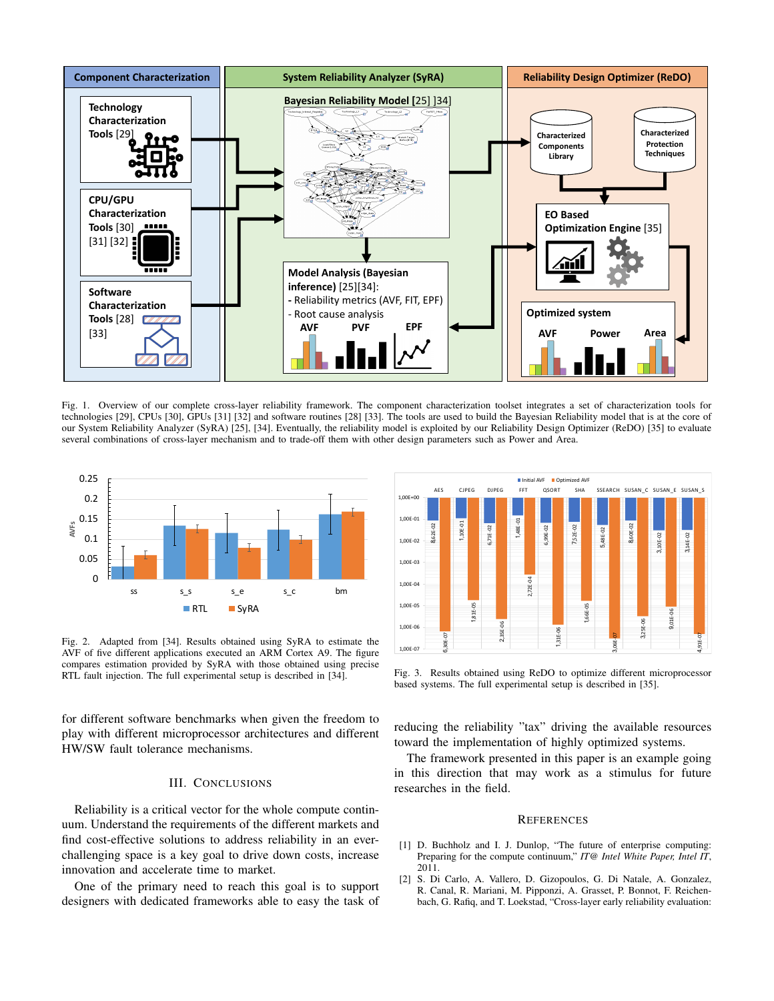

Fig. 1. Overview of our complete cross-layer reliability framework. The component characterization toolset integrates a set of characterization tools for technologies [29], CPUs [30], GPUs [31] [32] and software routines [28] [33]. The tools are used to build the Bayesian Reliability model that is at the core of our System Reliability Analyzer (SyRA) [25], [34]. Eventually, the reliability model is exploited by our Reliability Design Optimizer (ReDO) [35] to evaluate several combinations of cross-layer mechanism and to trade-off them with other design parameters such as Power and Area.



Fig. 2. Adapted from [34]. Results obtained using SyRA to estimate the AVF of five different applications executed an ARM Cortex A9. The figure compares estimation provided by SyRA with those obtained using precise RTL fault injection. The full experimental setup is described in [34].

for different software benchmarks when given the freedom to play with different microprocessor architectures and different HW/SW fault tolerance mechanisms.

#### III. CONCLUSIONS

Reliability is a critical vector for the whole compute continuum. Understand the requirements of the different markets and find cost-effective solutions to address reliability in an everchallenging space is a key goal to drive down costs, increase innovation and accelerate time to market.

One of the primary need to reach this goal is to support designers with dedicated frameworks able to easy the task of



Fig. 3. Results obtained using ReDO to optimize different microprocessor based systems. The full experimental setup is described in [35].

reducing the reliability "tax" driving the available resources toward the implementation of highly optimized systems.

The framework presented in this paper is an example going in this direction that may work as a stimulus for future researches in the field.

#### **REFERENCES**

- [1] D. Buchholz and I. J. Dunlop, "The future of enterprise computing: Preparing for the compute continuum," *IT@ Intel White Paper, Intel IT*, 2011.
- [2] S. Di Carlo, A. Vallero, D. Gizopoulos, G. Di Natale, A. Gonzalez, R. Canal, R. Mariani, M. Pipponzi, A. Grasset, P. Bonnot, F. Reichenbach, G. Rafiq, and T. Loekstad, "Cross-layer early reliability evaluation: